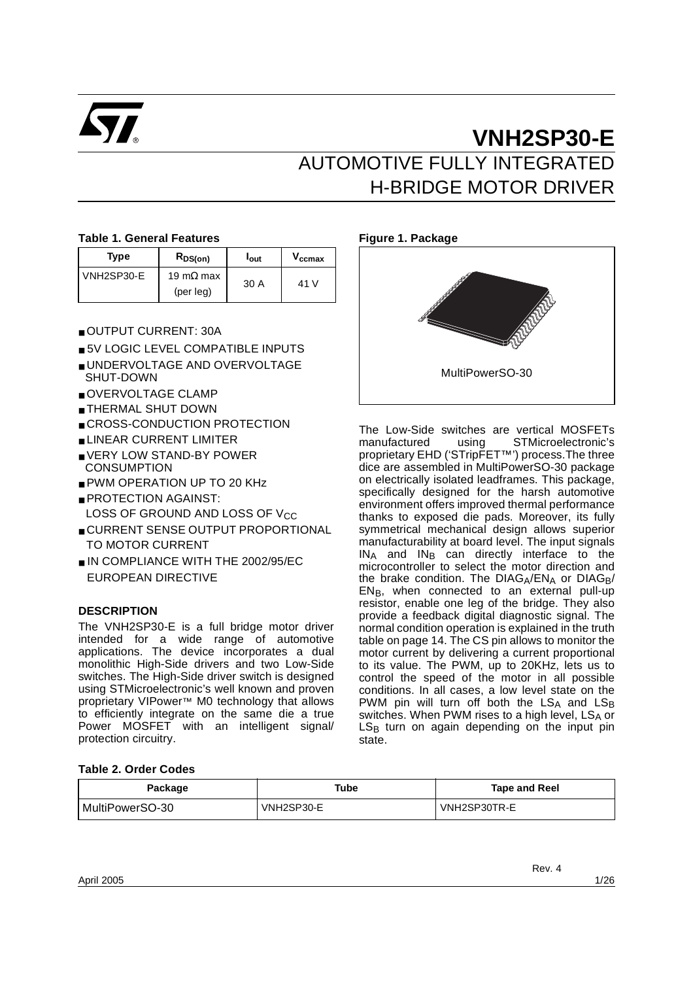

# **VNH2SP30-E** AUTOMOTIVE FULLY INTEGRATED H-BRIDGE MOTOR DRIVER

### **Table 1. General Features**

| <b>Type</b> | RDS(on)                                 | <b>l</b> out | Vccmax          |
|-------------|-----------------------------------------|--------------|-----------------|
| VNH2SP30-E  | 19 m $\Omega$ max<br>$(\text{per leg})$ | 30 A         | 41 <sub>1</sub> |

- OUTPUT CURRENT: 30A
- 5V LOGIC LEVEL COMPATIBLE INPUTS
- UNDERVOLTAGE AND OVERVOLTAGE SHUT-DOWN
- OVERVOLTAGE CLAMP
- THERMAL SHUT DOWN
- CROSS-CONDUCTION PROTECTION
- LINEAR CURRENT LIMITER
- VERY LOW STAND-BY POWER **CONSUMPTION**
- PWM OPERATION UP TO 20 KHz
- PROTECTION AGAINST: LOSS OF GROUND AND LOSS OF VCC
- CURRENT SENSE OUTPUT PROPORTIONAL TO MOTOR CURRENT
- IN COMPLIANCE WITH THE 2002/95/EC EUROPEAN DIRECTIVE

### **DESCRIPTION**

The VNH2SP30-E is a full bridge motor driver intended for a wide range of automotive applications. The device incorporates a dual monolithic High-Side drivers and two Low-Side switches. The High-Side driver switch is designed using STMicroelectronic's well known and proven proprietary VIPower™ M0 technology that allows to efficiently integrate on the same die a true Power MOSFET with an intelligent signal/ protection circuitry.

# **Figure 1. Package**



The Low-Side switches are vertical MOSFETs<br>manufactured using STMicroelectronic's using STMicroelectronic's proprietary EHD ('STripFET™') process.The three dice are assembled in MultiPowerSO-30 package on electrically isolated leadframes. This package, specifically designed for the harsh automotive environment offers improved thermal performance thanks to exposed die pads. Moreover, its fully symmetrical mechanical design allows superior manufacturability at board level. The input signals  $IN_A$  and  $IN_B$  can directly interface to the microcontroller to select the motor direction and the brake condition. The  $DIAG<sub>A</sub>/EN<sub>A</sub>$  or  $DIAG<sub>B</sub>/$  $EN_B$ , when connected to an external pull-up resistor, enable one leg of the bridge. They also provide a feedback digital diagnostic signal. The normal condition operation is explained in the truth table on page 14. The CS pin allows to monitor the motor current by delivering a current proportional to its value. The PWM, up to 20KHz, lets us to control the speed of the motor in all possible conditions. In all cases, a low level state on the PWM pin will turn off both the  $LS_A$  and  $LS_B$ switches. When PWM rises to a high level,  $LS_A$  or  $LS_B$  turn on again depending on the input pin state.

### **Table 2. Order Codes**

| Package           | Tube       | Tape and Reel |
|-------------------|------------|---------------|
| l MultiPowerSO-30 | VNH2SP30-E | VNH2SP30TR-E  |

Rev. 4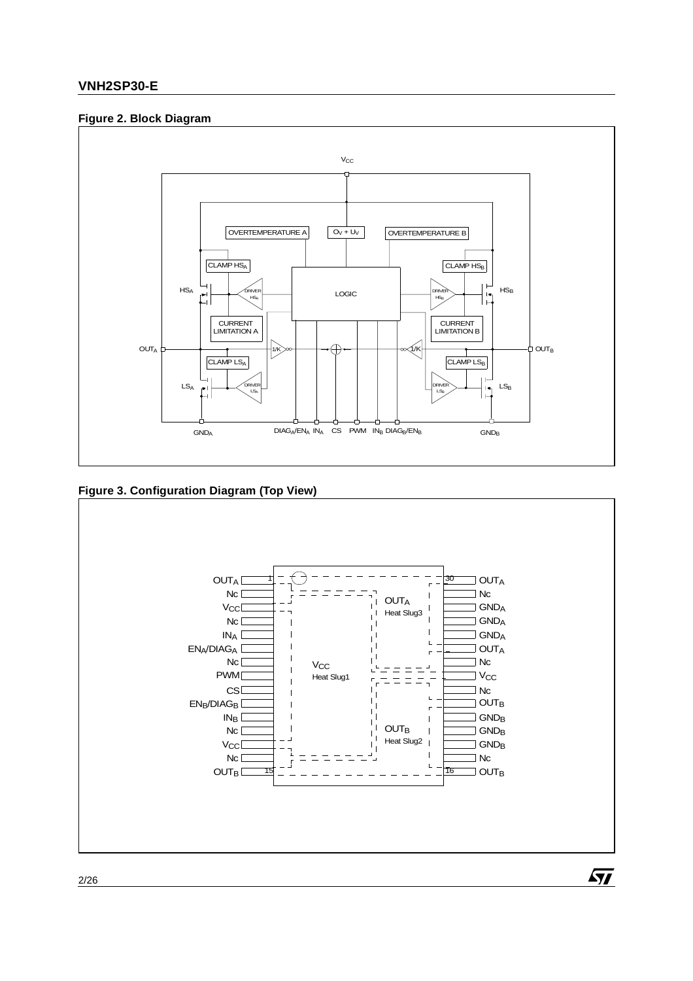### **Figure 2. Block Diagram**



**Figure 3. Configuration Diagram (Top View)** 



2/26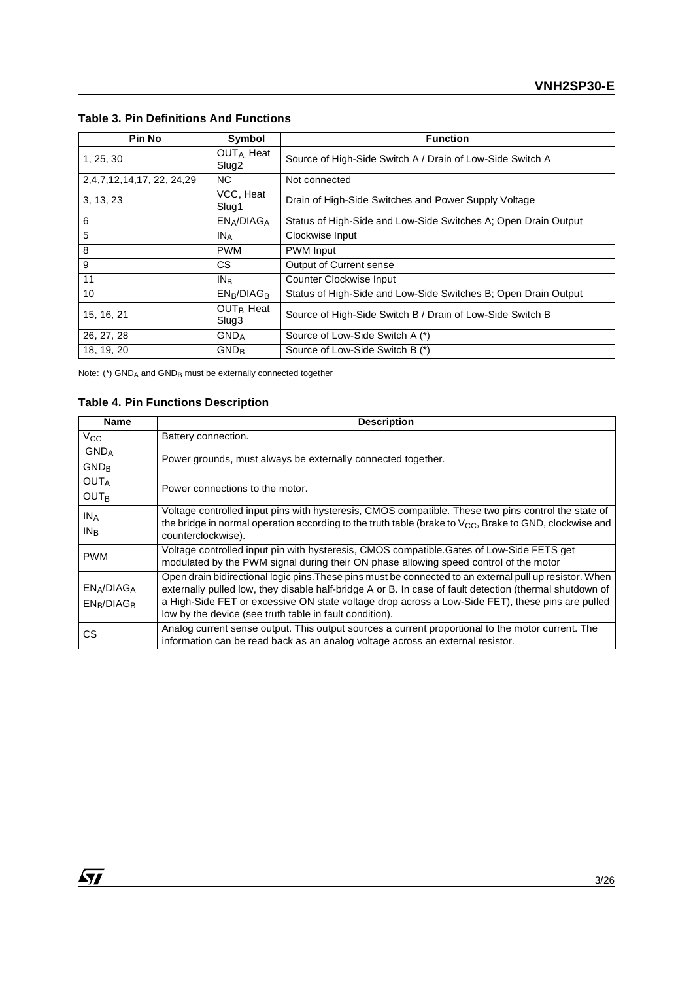| <b>Pin No</b>             | Symbol                                       | <b>Function</b>                                                |
|---------------------------|----------------------------------------------|----------------------------------------------------------------|
| 1, 25, 30                 | OUT <sub>A</sub> , Heat<br>Slug <sub>2</sub> | Source of High-Side Switch A / Drain of Low-Side Switch A      |
| 2,4,7,12,14,17, 22, 24,29 | NC.                                          | Not connected                                                  |
| 3, 13, 23                 | VCC, Heat<br>Slug1                           | Drain of High-Side Switches and Power Supply Voltage           |
| 6                         | EN <sub>A</sub> /DIAG <sub>A</sub>           | Status of High-Side and Low-Side Switches A; Open Drain Output |
| 5                         | <b>INA</b>                                   | Clockwise Input                                                |
| 8                         | <b>PWM</b>                                   | <b>PWM</b> Input                                               |
| 9                         | CS.                                          | Output of Current sense                                        |
| 11                        | $IN_{B}$                                     | Counter Clockwise Input                                        |
| 10                        | $EN_B/DIAG_B$                                | Status of High-Side and Low-Side Switches B; Open Drain Output |
| 15, 16, 21                | OUT <sub>B.</sub> Heat<br>Slug3              | Source of High-Side Switch B / Drain of Low-Side Switch B      |
| 26, 27, 28                | $GND_A$                                      | Source of Low-Side Switch A (*)                                |
| 18, 19, 20                | $GND_{B}$                                    | Source of Low-Side Switch B (*)                                |

# **Table 3. Pin Definitions And Functions**

Note:  $(*)$  GND<sub>A</sub> and GND<sub>B</sub> must be externally connected together

# **Table 4. Pin Functions Description**

| <b>Name</b>             | <b>Description</b>                                                                                           |
|-------------------------|--------------------------------------------------------------------------------------------------------------|
| $V_{\rm CC}$            | Battery connection.                                                                                          |
| <b>GND</b> <sub>A</sub> | Power grounds, must always be externally connected together.                                                 |
| <b>GND<sub>R</sub></b>  |                                                                                                              |
| <b>OUTA</b>             | Power connections to the motor.                                                                              |
| <b>OUTR</b>             |                                                                                                              |
| IN <sub>A</sub>         | Voltage controlled input pins with hysteresis, CMOS compatible. These two pins control the state of          |
| IN <sub>B</sub>         | the bridge in normal operation according to the truth table (brake to $V_{CC}$ , Brake to GND, clockwise and |
|                         | counterclockwise).                                                                                           |
| <b>PWM</b>              | Voltage controlled input pin with hysteresis, CMOS compatible. Gates of Low-Side FETS get                    |
|                         | modulated by the PWM signal during their ON phase allowing speed control of the motor                        |
|                         | Open drain bidirectional logic pins. These pins must be connected to an external pull up resistor. When      |
| $EN_A/DIAG_A$           | externally pulled low, they disable half-bridge A or B. In case of fault detection (thermal shutdown of      |
| $EN_B/DIAG_B$           | a High-Side FET or excessive ON state voltage drop across a Low-Side FET), these pins are pulled             |
|                         | low by the device (see truth table in fault condition).                                                      |
| СS                      | Analog current sense output. This output sources a current proportional to the motor current. The            |
|                         | information can be read back as an analog voltage across an external resistor.                               |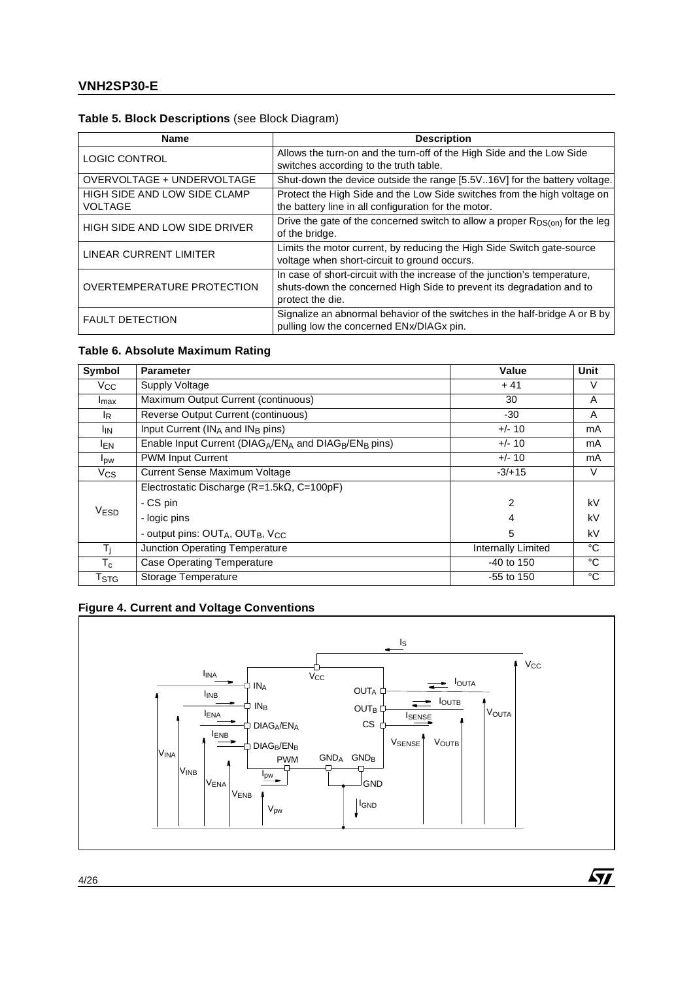# **Table 5. Block Descriptions** (see Block Diagram)

| <b>Name</b>                                    | <b>Description</b>                                                                                                                                                    |
|------------------------------------------------|-----------------------------------------------------------------------------------------------------------------------------------------------------------------------|
| <b>LOGIC CONTROL</b>                           | Allows the turn-on and the turn-off of the High Side and the Low Side<br>switches according to the truth table.                                                       |
| OVERVOLTAGE + UNDERVOLTAGE                     | Shut-down the device outside the range [5.5V16V] for the battery voltage.                                                                                             |
| HIGH SIDE AND LOW SIDE CLAMP<br><b>VOLTAGE</b> | Protect the High Side and the Low Side switches from the high voltage on<br>the battery line in all configuration for the motor.                                      |
| HIGH SIDE AND LOW SIDE DRIVER                  | Drive the gate of the concerned switch to allow a proper $R_{DS(0n)}$ for the leg<br>of the bridge.                                                                   |
| LINEAR CURRENT LIMITER                         | Limits the motor current, by reducing the High Side Switch gate-source<br>voltage when short-circuit to ground occurs.                                                |
| <b>OVERTEMPERATURE PROTECTION</b>              | In case of short-circuit with the increase of the junction's temperature,<br>shuts-down the concerned High Side to prevent its degradation and to<br>protect the die. |
| <b>FAULT DETECTION</b>                         | Signalize an abnormal behavior of the switches in the half-bridge A or B by<br>pulling low the concerned ENx/DIAGx pin.                                               |

# **Table 6. Absolute Maximum Rating**

| Symbol                      | <b>Parameter</b>                                             | Value                     | Unit        |
|-----------------------------|--------------------------------------------------------------|---------------------------|-------------|
| V <sub>CC</sub>             | Supply Voltage                                               | $+41$                     | V           |
| I <sub>max</sub>            | Maximum Output Current (continuous)                          | 30                        | A           |
| <sup>I</sup> R              | Reverse Output Current (continuous)                          | $-30$                     | A           |
| <sup>I</sup> IN             | Input Current ( $IN_A$ and $IN_B$ pins)                      | $+/- 10$                  | mA          |
| <sup>I</sup> EN             | Enable Input Current ( $DIAG_A/EN_A$ and $DIAG_B/EN_B$ pins) | $+/- 10$                  | mA          |
| $I_{DW}$                    | <b>PWM Input Current</b>                                     | $+/- 10$                  | mA          |
| $V_{CS}$                    | Current Sense Maximum Voltage                                | $-3/+15$                  | V           |
|                             | Electrostatic Discharge ( $R=1.5k\Omega$ , C=100pF)          |                           |             |
|                             | - CS pin                                                     | 2                         | kV          |
| V <sub>ESD</sub>            | - logic pins                                                 | 4                         | kV          |
|                             | - output pins: OUTA, OUTB, V <sub>CC</sub>                   | 5                         | kV          |
| Тĩ                          | Junction Operating Temperature                               | <b>Internally Limited</b> | $^{\circ}C$ |
| $T_c$                       | <b>Case Operating Temperature</b>                            | $-40$ to 150              | °C          |
| $\mathsf{T}_{\textsf{STG}}$ | Storage Temperature                                          | $-55$ to 150              | $^{\circ}C$ |

# **Figure 4. Current and Voltage Conventions**



 $\sqrt{11}$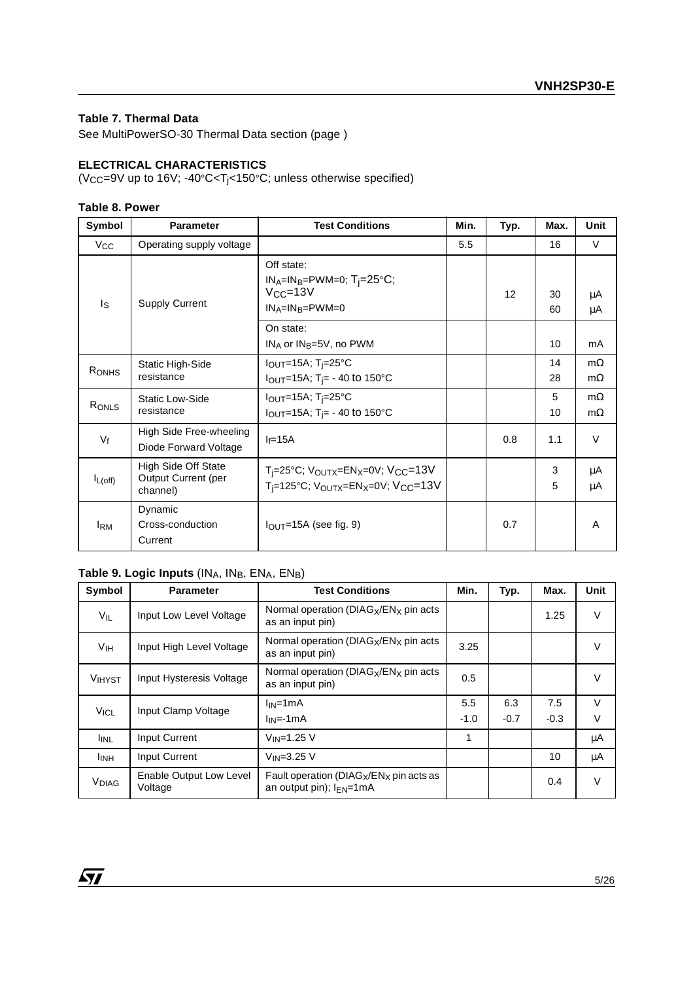### **Table 7. Thermal Data**

See MultiPowerSO-30 Thermal Data section (page )

### **ELECTRICAL CHARACTERISTICS**

(V $_{\text{CC}}$ =9V up to 16V; -40°C<T<sub>j</sub><150°C; unless otherwise specified)

### **Table 8. Power**

| Symbol       | <b>Parameter</b>                                              | <b>Test Conditions</b>                                                                                                                               | Min. | Typ. | Max.     | <b>Unit</b>            |
|--------------|---------------------------------------------------------------|------------------------------------------------------------------------------------------------------------------------------------------------------|------|------|----------|------------------------|
| Vcc          | Operating supply voltage                                      |                                                                                                                                                      | 5.5  |      | 16       | V                      |
| Is           | <b>Supply Current</b>                                         | Off state:<br>$IN_A=IN_B=$ PWM=0; T <sub>j</sub> =25°C;<br>$V_{CC} = 13V$<br>$IN_A=IN_B=PWM=0$                                                       |      | 12   | 30<br>60 | μA<br>μA               |
|              |                                                               | On state:<br>$IN_A$ or $IN_B=5V$ , no PWM                                                                                                            |      |      | 10       | mA                     |
| RONHS        | Static High-Side<br>resistance                                | $I_{\text{OUT}}$ =15A; T <sub>i</sub> =25°C<br>$I_{\text{OUT}}$ =15A; T <sub>j</sub> = - 40 to 150°C                                                 |      |      | 14<br>28 | $m\Omega$<br>$m\Omega$ |
| RONLS        | <b>Static Low-Side</b><br>resistance                          | $I_{\text{OUT}}$ =15A; T <sub>j</sub> =25°C<br>$I_{\text{OUT}}$ =15A; T <sub>j</sub> = - 40 to 150°C                                                 |      |      | 5<br>10  | $m\Omega$<br>$m\Omega$ |
| $V_f$        | High Side Free-wheeling<br>Diode Forward Voltage              | $I_f = 15A$                                                                                                                                          |      | 0.8  | 1.1      | $\vee$                 |
| $I_{L(off)}$ | High Side Off State<br><b>Output Current (per</b><br>channel) | $T_i = 25^{\circ}$ C; V <sub>OUTX</sub> =EN <sub>X</sub> =0V; V <sub>CC</sub> =13V<br>$T_i = 125^{\circ}C$ ; $V_{OUTX} = EN_X = 0V$ ; $V_{CC} = 13V$ |      |      | 3<br>5   | μA<br>μA               |
| $I_{\rm RM}$ | Dynamic<br>Cross-conduction<br>Current                        | $I_{\text{OUT}}$ =15A (see fig. 9)                                                                                                                   |      | 0.7  |          | A                      |

# Table 9. Logic Inputs (INA, IN<sub>B</sub>, ENA, ENB)

| Symbol        | <b>Parameter</b>                   | <b>Test Conditions</b>                                                      | Min.   | Typ.   | Max.   | Unit   |
|---------------|------------------------------------|-----------------------------------------------------------------------------|--------|--------|--------|--------|
| $V_{IL}$      | Input Low Level Voltage            | Normal operation ( $DIAG_X/EN_X$ pin acts<br>as an input pin)               |        |        | 1.25   | V      |
| Vıн           | Input High Level Voltage           | Normal operation ( $DIAG_X/EN_X$ pin acts<br>as an input pin)               | 3.25   |        |        | $\vee$ |
| <b>VIHYST</b> | Input Hysteresis Voltage           | Normal operation ( $DIAG_X/EN_X$ pin acts<br>as an input pin)               | 0.5    |        |        | V      |
|               | Input Clamp Voltage                | $I_{IN}$ =1mA                                                               | 5.5    | 6.3    | 7.5    | $\vee$ |
| <b>VICL</b>   |                                    | $I_{IN} = -1mA$                                                             | $-1.0$ | $-0.7$ | $-0.3$ | V      |
| <b>I</b> INL  | Input Current                      | $V_{IN} = 1.25$ V                                                           | 1      |        |        | μA     |
| <b>I</b> INH  | Input Current                      | $V_{IN}=3.25$ V                                                             |        |        | 10     | μA     |
| <b>V</b> DIAG | Enable Output Low Level<br>Voltage | Fault operation ( $DIAG_X/EN_X$ pin acts as<br>an output pin); $I_{EN}=1mA$ |        |        | 0.4    | V      |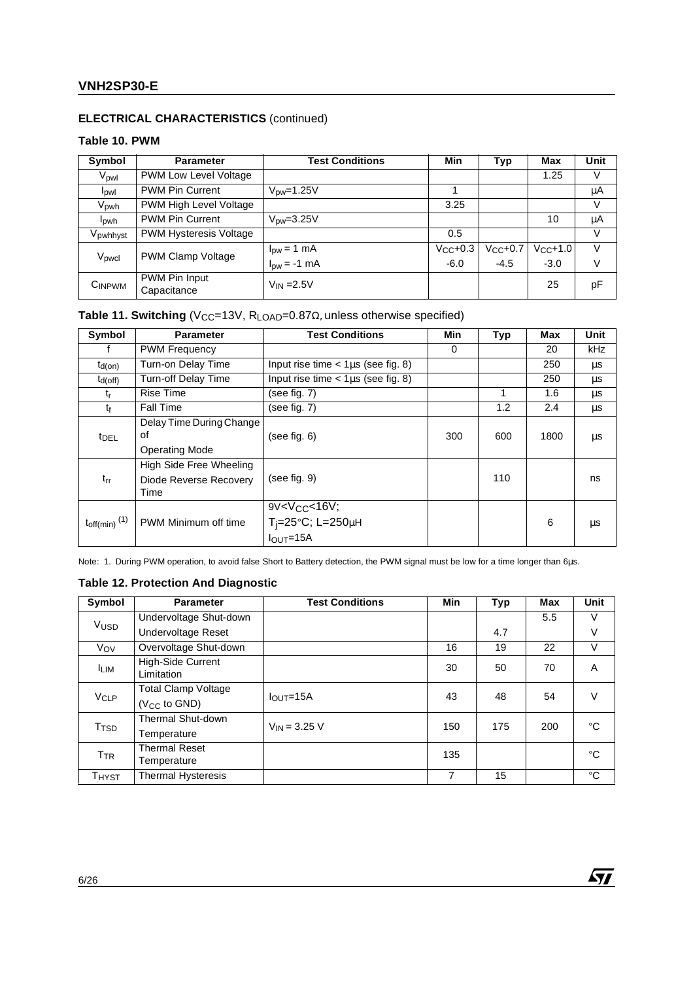# **ELECTRICAL CHARACTERISTICS** (continued)

### **Table 10. PWM**

| Symbol                  | <b>Parameter</b>              | <b>Test Conditions</b>          | Min          | Typ          | Max     | Unit |
|-------------------------|-------------------------------|---------------------------------|--------------|--------------|---------|------|
| V <sub>pwl</sub>        | PWM Low Level Voltage         |                                 |              |              | 1.25    | V    |
| lpwl                    | <b>PWM Pin Current</b>        | $V_{\text{DW}}$ =1.25V          |              |              |         | μA   |
| V <sub>pwh</sub>        | PWM High Level Voltage        |                                 | 3.25         |              |         | V    |
| <b>I</b> <sub>pwh</sub> | <b>PWM Pin Current</b>        | $V_{\text{DW}} = 3.25V$         |              |              | 10      | μA   |
| V <sub>pwhhyst</sub>    | <b>PWM Hysteresis Voltage</b> |                                 | 0.5          |              |         | V    |
|                         | <b>PWM Clamp Voltage</b>      | $I_{\text{DW}} = 1 \text{ mA}$  | $V_{CC}+0.3$ | $V_{CC}+0.7$ | Vcc+1.0 | V    |
| V <sub>pwcl</sub>       |                               | $I_{\text{pw}} = -1 \text{ mA}$ | $-6.0$       | $-4.5$       | $-3.0$  | V    |
| $C_{\mathsf{INPWM}}$    | PWM Pin Input<br>Capacitance  | $V_{IN} = 2.5V$                 |              |              | 25      | рF   |

# Table 11. Switching (V<sub>CC</sub>=13V, R<sub>LOAD</sub>=0.87Ω, unless otherwise specified)

| Symbol                        | <b>Parameter</b>                                          | <b>Test Conditions</b>                                            | Min | Typ | Max  | Unit |
|-------------------------------|-----------------------------------------------------------|-------------------------------------------------------------------|-----|-----|------|------|
|                               | <b>PWM Frequency</b>                                      |                                                                   | 0   |     | 20   | kHz  |
| $t_{d(on)}$                   | Turn-on Delay Time                                        | Input rise time $<$ 1 $\mu$ s (see fig. 8)                        |     |     | 250  | μs   |
| $t_{d(off)}$                  | Turn-off Delay Time                                       | Input rise time $<$ 1 $\mu$ s (see fig. 8)                        |     |     | 250  | μs   |
| $t_{r}$                       | <b>Rise Time</b>                                          | (see fig. 7)                                                      |     | 1   | 1.6  | μs   |
| tf                            | <b>Fall Time</b>                                          | (see fig. 7)                                                      |     | 1.2 | 2.4  | μs   |
| t <sub>DEL</sub>              | Delay Time During Change<br>οf<br><b>Operating Mode</b>   | (see fig. 6)                                                      | 300 | 600 | 1800 | μs   |
| $t_{rr}$                      | High Side Free Wheeling<br>Diode Reverse Recovery<br>Time | (see fig. 9)                                                      |     | 110 |      | ns   |
| $t_{off(min)}$ <sup>(1)</sup> | PWM Minimum off time                                      | $9V < VCC < 16V$ ;<br>$T_i = 25^{\circ}C$ ; L=250µH<br>$IOUT=15A$ |     |     | 6    | μs   |

Note: 1. During PWM operation, to avoid false Short to Battery detection, the PWM signal must be low for a time longer than 6µs.

### **Table 12. Protection And Diagnostic**

| Symbol                 | <b>Parameter</b>                | <b>Test Conditions</b> | Min | Typ        | Max | <b>Unit</b> |
|------------------------|---------------------------------|------------------------|-----|------------|-----|-------------|
|                        | Undervoltage Shut-down          |                        |     |            | 5.5 | V           |
| Vusd                   | Undervoltage Reset              |                        |     | 4.7        |     | V           |
| Vov                    | Overvoltage Shut-down           |                        | 16  | 19         | 22  | V           |
| <b>ILIM</b>            | High-Side Current<br>Limitation |                        | 30  | 50         | 70  | A           |
| <b>V<sub>CLP</sub></b> | Total Clamp Voltage             | 43<br>$IQUT=15A$       | 48  | 54         | V   |             |
|                        | $(V_{CC}$ to $GND$ )            |                        |     |            |     |             |
| T <sub>TSD</sub>       | Thermal Shut-down               | $V_{IN} = 3.25 V$      |     | 175<br>150 | 200 | °C          |
|                        | Temperature                     |                        |     |            |     |             |
| T <sub>TR</sub>        | <b>Thermal Reset</b>            |                        | 135 |            |     | °C          |
|                        | Temperature                     |                        |     |            |     |             |
| T <sub>HYST</sub>      | Thermal Hysteresis              |                        | 7   | 15         |     | °C          |

 $\sqrt{M}$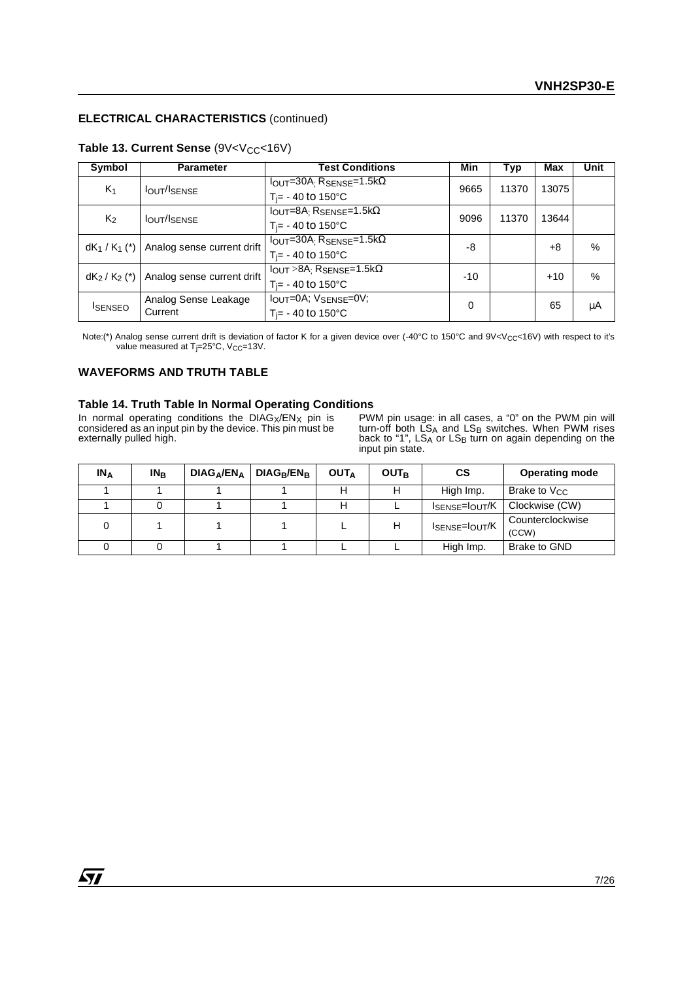### **ELECTRICAL CHARACTERISTICS** (continued)

| Symbol         | <b>Parameter</b>           | <b>Test Conditions</b>                                   | Min   | Typ   | Max   | Unit          |
|----------------|----------------------------|----------------------------------------------------------|-------|-------|-------|---------------|
| $K_1$          | <b>IOUT/ISENSE</b>         | $I_{\text{OUT}} = 30A$ ; $R_{\text{SENSE}} = 1.5k\Omega$ | 9665  | 11370 | 13075 |               |
|                |                            | $T_{\text{F}}$ - 40 to 150°C                             |       |       |       |               |
| K <sub>2</sub> | <b>IOUT/ISENSE</b>         | $I_{OUT} = 8A$ : RSENSE=1.5k $\Omega$                    | 9096  | 11370 | 13644 |               |
|                |                            | $T_{\text{F}}$ - 40 to 150°C                             |       |       |       |               |
| $dK_1/K_1$ (*) | Analog sense current drift | $I_{\text{OUT}} = 30A$ ; $R_{\text{SENSE}} = 1.5k\Omega$ | -8    |       | +8    | $\frac{0}{0}$ |
|                |                            | $T_{\text{F}}$ - 40 to 150°C                             |       |       |       |               |
| $dK_2/K_2$ (*) | Analog sense current drift | $I_{OUT} > 8A$ : R <sub>SENSE</sub> =1.5k $\Omega$       | $-10$ |       | $+10$ | %             |
|                |                            | $T_{\text{F}}$ - 40 to 150°C                             |       |       |       |               |
|                | Analog Sense Leakage       | IOUT=0A; VSENSE=0V;                                      | 0     |       | 65    | μA            |
| <b>ISENSEO</b> | Current                    | $T_{\rm j}$ - 40 to 150°C                                |       |       |       |               |

### **Table 13. Current Sense** (9V<V<sub>CC</sub><16V)

Note:(\*) Analog sense current drift is deviation of factor K for a given device over (-40°C to 150°C and 9V<Vcc<16V) with respect to it's value measured at T<sub>j</sub>=25°C, V<sub>CC</sub>=13V.

#### **WAVEFORMS AND TRUTH TABLE**

#### **Table 14. Truth Table In Normal Operating Conditions**

In normal operating conditions the  $DIAG_X/EN_X$  pin is considered as an input pin by the device. This pin must be externally pulled high.

PWM pin usage: in all cases, a "0" on the PWM pin will turn-off both  $\mathsf{LS}_\mathsf{A}$  and  $\mathsf{LS}_\mathsf{B}$  switches. When PWM rises back to "1", LS<sub>A</sub> or LS<sub>B</sub> turn on again depending on the<br>input pin state.

| $IN_A$ | IN <sub>R</sub> | $DIAG_{\Delta}/EN_{\Delta}$ | $DIAG_R/EN_R$ | <b>OUTA</b> | <b>OUTR</b> | CS                                      | <b>Operating mode</b>     |
|--------|-----------------|-----------------------------|---------------|-------------|-------------|-----------------------------------------|---------------------------|
|        |                 |                             |               |             | Н           | High Imp.                               | Brake to V <sub>CC</sub>  |
|        |                 |                             |               |             |             | I <sub>SENSE</sub> =I <sub>OUT</sub> /K | Clockwise (CW)            |
| 0      |                 |                             |               |             | Н           | I <sub>SENSE</sub> =I <sub>OUT</sub> /K | Counterclockwise<br>(CCW) |
|        |                 |                             |               |             |             | High Imp.                               | Brake to GND              |

 $\sqrt{1}$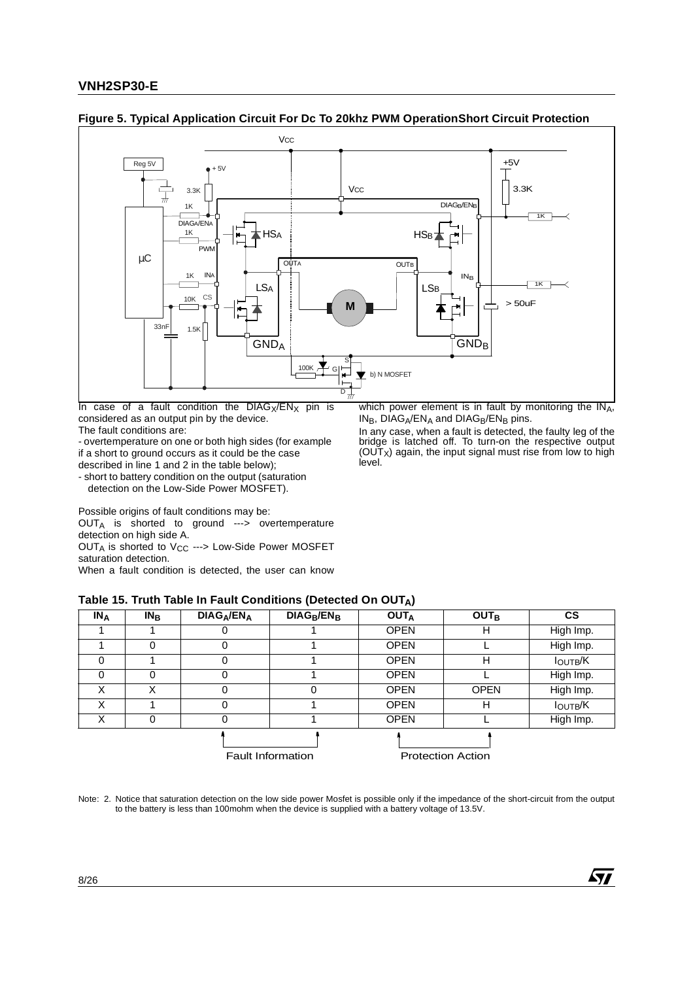

#### **Figure 5. Typical Application Circuit For Dc To 20khz PWM OperationShort Circuit Protection**

In case of a fault condition the  $DIAGx/ENx$  pin is considered as an output pin by the device.

The fault conditions are:

- overtemperature on one or both high sides (for example if a short to ground occurs as it could be the case described in line 1 and 2 in the table below);

- short to battery condition on the output (saturation detection on the Low-Side Power MOSFET).

which power element is in fault by monitoring the  $IN<sub>A</sub>$ ,  $IN_B$ , DIAG<sub>A</sub>/EN<sub>A</sub> and DIAG<sub>B</sub>/EN<sub>B</sub> pins.

In any case, when a fault is detected, the faulty leg of the bridge is latched off. To turn-on the respective output (OUTX) again, the input signal must rise from low to high level.

57

Possible origins of fault conditions may be: OUTA is shorted to ground ---> overtemperature detection on high side A.

OUT<sub>A</sub> is shorted to  $V_{CC}$  ---> Low-Side Power MOSFET saturation detection.

When a fault condition is detected, the user can know

#### **Table 15. Truth Table In Fault Conditions (Detected On OUTA)**

| $IN_A$   | $IN_B$ | DIAG <sub>A</sub> /ENA | $DIAG_B/EN_B$            | <b>OUTA</b> | <b>OUT<sub>B</sub></b>   | <b>CS</b>      |
|----------|--------|------------------------|--------------------------|-------------|--------------------------|----------------|
|          |        | 0                      |                          | <b>OPEN</b> | н                        | High Imp.      |
|          | 0      | 0                      |                          | <b>OPEN</b> |                          | High Imp.      |
| 0        |        | 0                      |                          | <b>OPEN</b> | н                        | <b>IOUTB/K</b> |
| $\Omega$ | 0      | 0                      |                          | <b>OPEN</b> |                          | High Imp.      |
| X        | X      | 0                      |                          | <b>OPEN</b> | <b>OPEN</b>              | High Imp.      |
| Χ        |        | 0                      |                          | <b>OPEN</b> | н                        | <b>IOUTB/K</b> |
| Χ        | 0      | 0                      |                          | <b>OPEN</b> |                          | High Imp.      |
|          |        |                        |                          |             |                          |                |
|          |        |                        | <b>Fault Information</b> |             | <b>Protection Action</b> |                |

Note: 2. Notice that saturation detection on the low side power Mosfet is possible only if the impedance of the short-circuit from the output to the battery is less than 100mohm when the device is supplied with a battery voltage of 13.5V.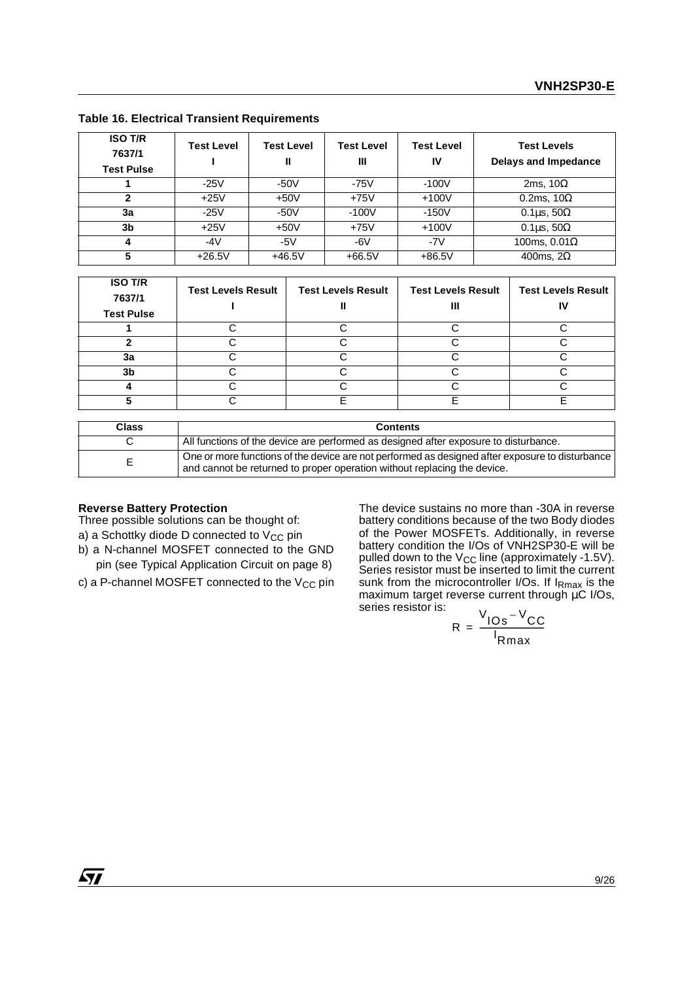| <b>ISO T/R</b><br>7637/1<br><b>Test Pulse</b> | <b>Test Level</b> | <b>Test Level</b><br>Ш | <b>Test Level</b><br>Ш | <b>Test Level</b><br>IV | <b>Test Levels</b><br><b>Delays and Impedance</b> |
|-----------------------------------------------|-------------------|------------------------|------------------------|-------------------------|---------------------------------------------------|
|                                               | $-25V$            | $-50V$                 | $-75V$                 | $-100V$                 | 2ms, $10\Omega$                                   |
| $\mathbf{2}$                                  | $+25V$            | $+50V$                 | $+75V$                 | $+100V$                 | 0.2ms, $10\Omega$                                 |
| 3a                                            | $-25V$            | $-50V$                 | $-100V$                | $-150V$                 | 0.1 $\mu$ s, 50 $\Omega$                          |
| 3b                                            | $+25V$            | $+50V$                 | $+75V$                 | $+100V$                 | 0.1 $\mu$ s, 50 $\Omega$                          |
| 4                                             | -4 $V$            | -5 $V$                 | $-6V$                  | $-7V$                   | 100ms, $0.01\Omega$                               |
| 5                                             | $+26.5V$          | $+46.5V$               | $+66.5V$               | $+86.5V$                | 400ms, $2\Omega$                                  |

**Table 16. Electrical Transient Requirements**

| <b>ISO T/R</b><br>7637/1<br><b>Test Pulse</b> | <b>Test Levels Result</b> | <b>Test Levels Result</b> | <b>Test Levels Result</b> | <b>Test Levels Result</b> |
|-----------------------------------------------|---------------------------|---------------------------|---------------------------|---------------------------|
|                                               |                           |                           |                           |                           |
|                                               |                           |                           |                           |                           |
| За                                            |                           |                           |                           |                           |
| 3 <sub>b</sub>                                |                           |                           |                           |                           |
|                                               |                           |                           |                           |                           |
|                                               |                           |                           | ⊏                         |                           |

| <b>Class</b> | <b>Contents</b>                                                                                                                                                             |
|--------------|-----------------------------------------------------------------------------------------------------------------------------------------------------------------------------|
|              | All functions of the device are performed as designed after exposure to disturbance.                                                                                        |
| E            | One or more functions of the device are not performed as designed after exposure to disturbance<br>and cannot be returned to proper operation without replacing the device. |

#### **Reverse Battery Protection**

Three possible solutions can be thought of:

- a) a Schottky diode D connected to  $V_{CC}$  pin
- b) a N-channel MOSFET connected to the GND pin (see Typical Application Circuit on page 8)
- c) a P-channel MOSFET connected to the  $V_{CC}$  pin

The device sustains no more than -30A in reverse battery conditions because of the two Body diodes of the Power MOSFETs. Additionally, in reverse battery condition the I/Os of VNH2SP30-E will be pulled down to the  $\rm V_{CC}$  line (approximately -1.5V). Series resistor must be inserted to limit the current sunk from the microcontroller I/Os. If IRmax is the maximum target reverse current through µC I/Os, series resistor is:

$$
R = \frac{V_{\text{IOS}} - V_{\text{CC}}}{I_{\text{Rmax}}}
$$

*ST*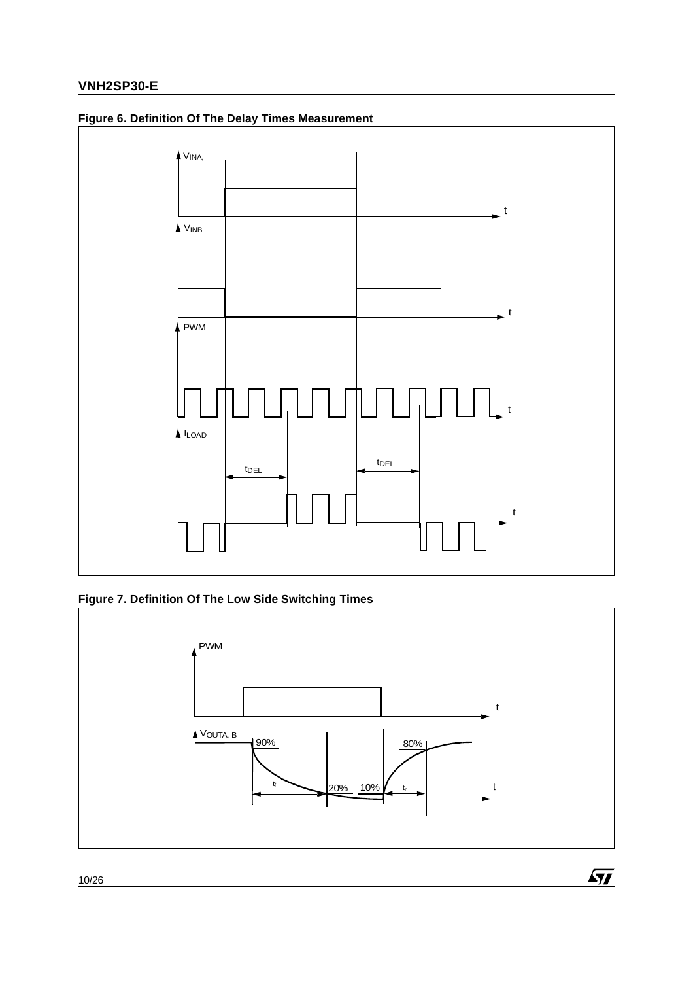

# **Figure 6. Definition Of The Delay Times Measurement**





 $\sqrt{M}$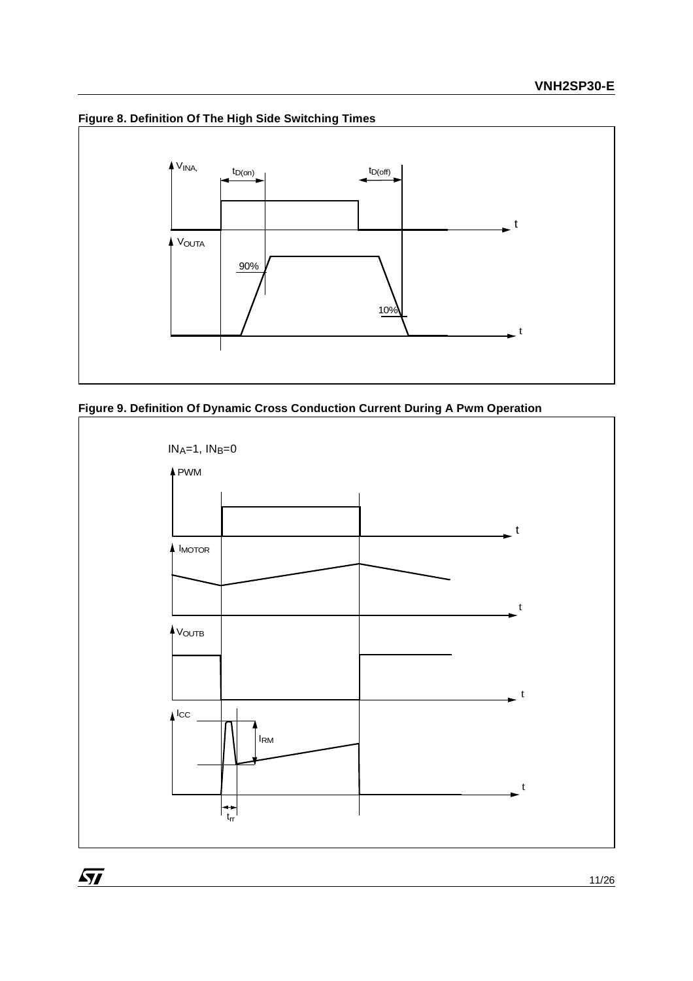

# **Figure 8. Definition Of The High Side Switching Times**

 $\sqrt{27}$ 



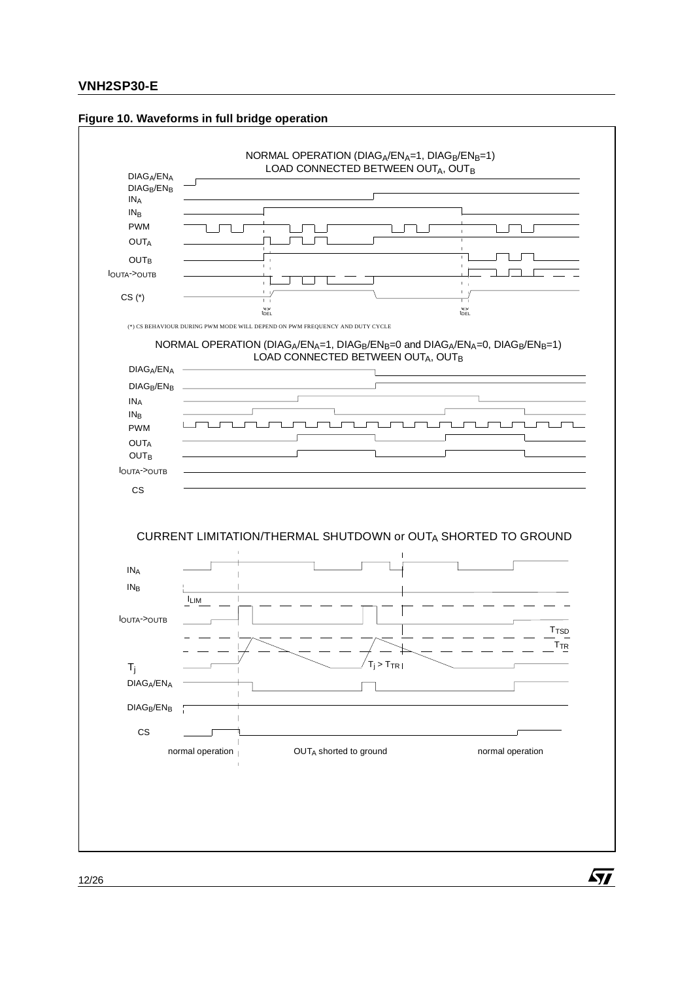

ST

#### **Figure 10. Waveforms in full bridge operation**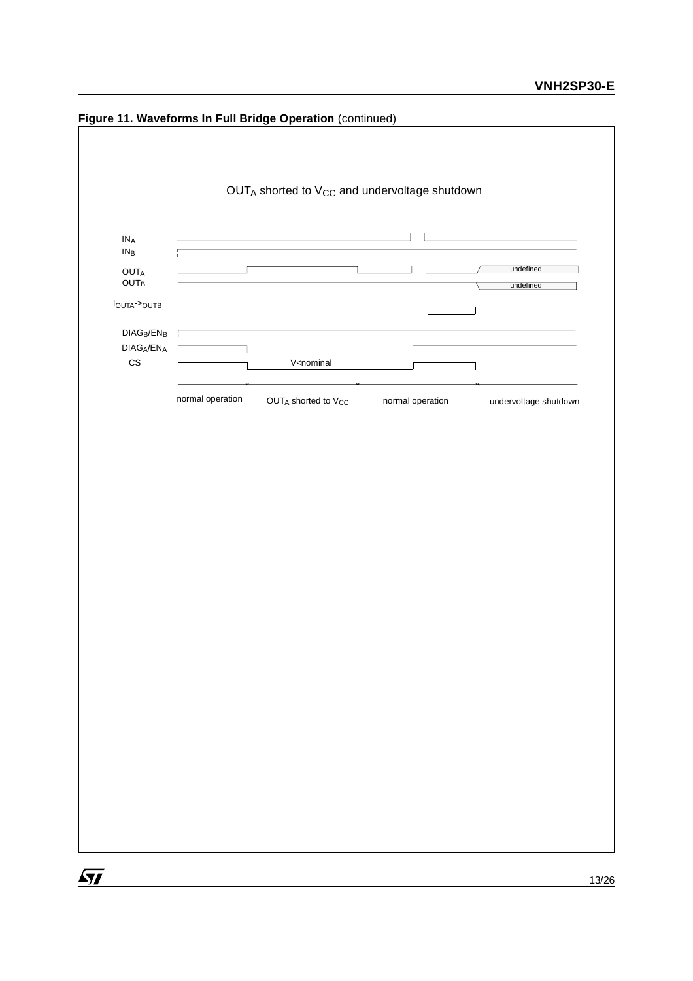

**Figure 11. Waveforms In Full Bridge Operation** (continued)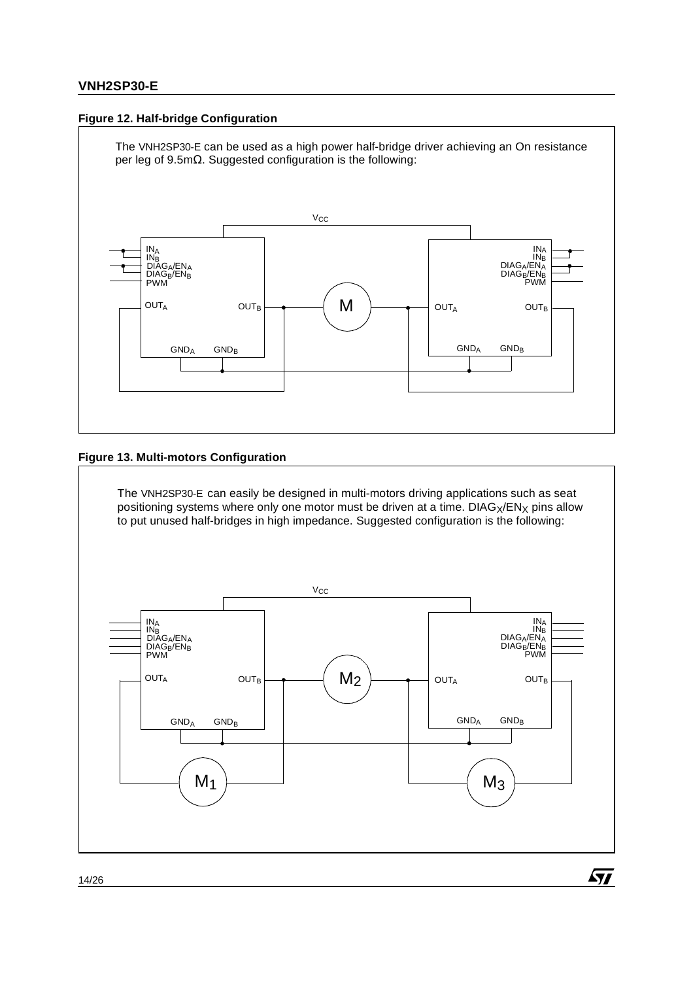### **Figure 12. Half-bridge Configuration**



### **Figure 13. Multi-motors Configuration**

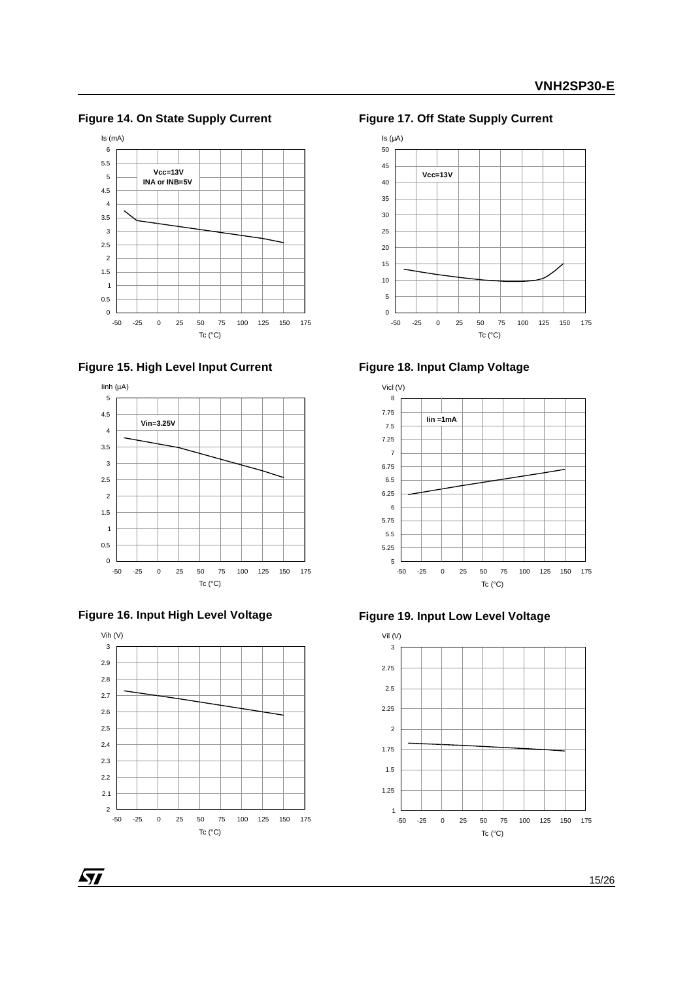**Figure 14. On State Supply Current**









 $\sqrt{1}$ 



**Figure 17. Off State Supply Current**









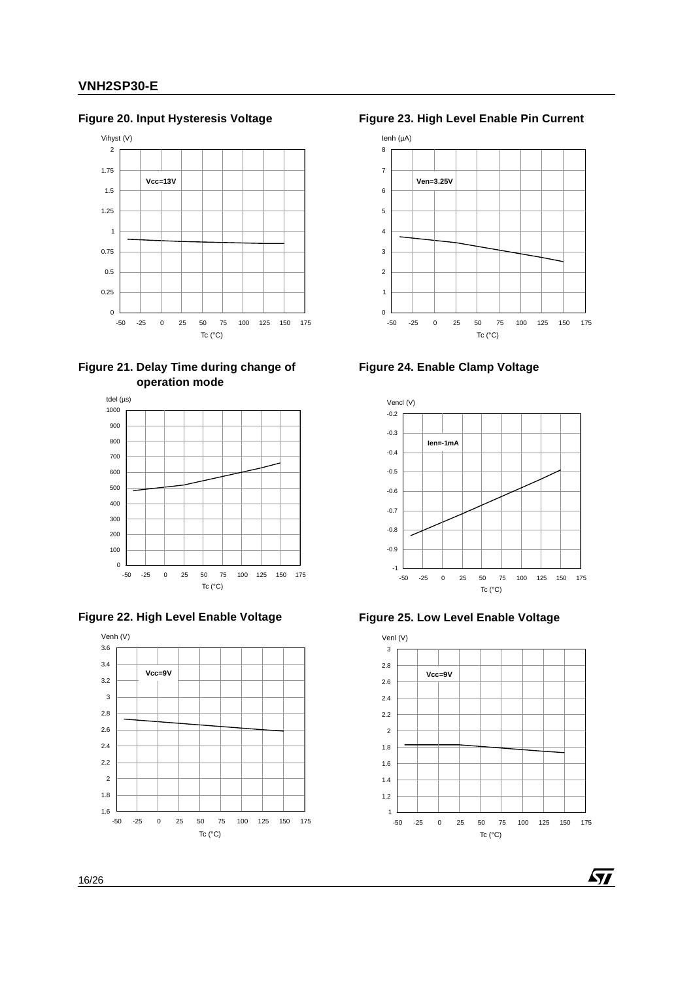# **Figure 20. Input Hysteresis Voltage**



**Figure 21. Delay Time during change of operation mode**







**Figure 23. High Level Enable Pin Current**



**Figure 24. Enable Clamp Voltage**







*ST*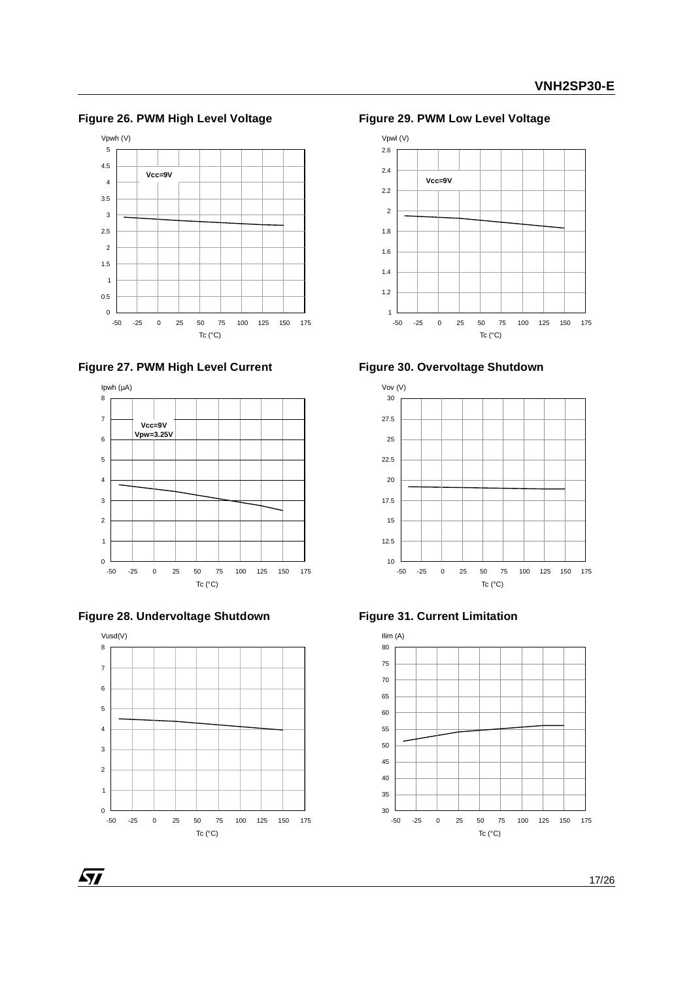**Figure 26. PWM High Level Voltage**









 $\sqrt{1}$ 



**Figure 29. PWM Low Level Voltage**









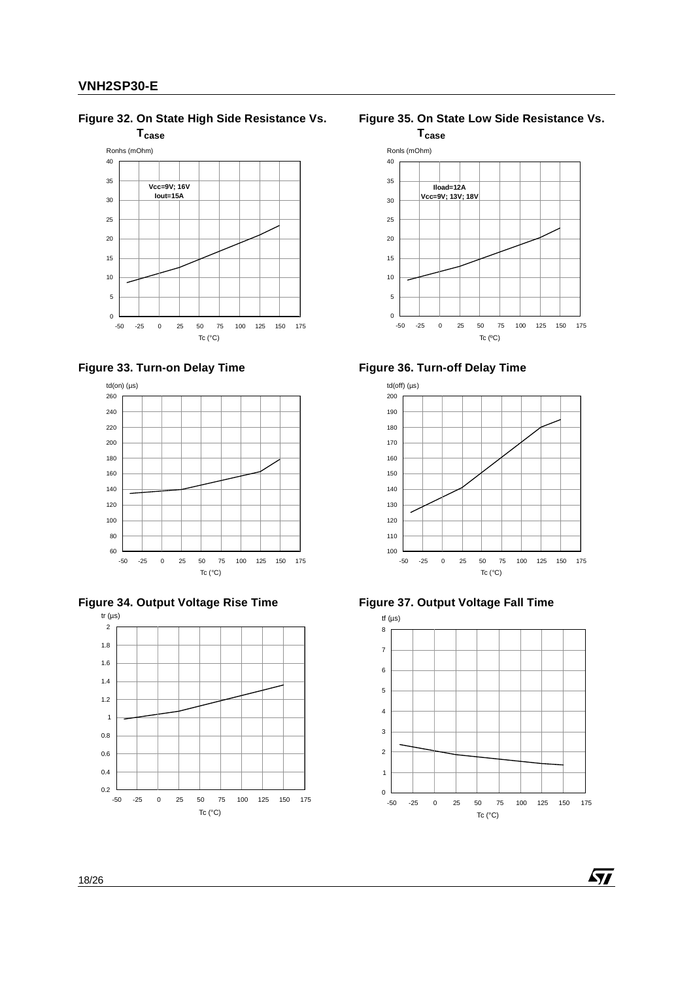**Figure 32. On State High Side Resistance Vs.** 











**Figure 35. On State Low Side Resistance Vs.** 











冈

18/26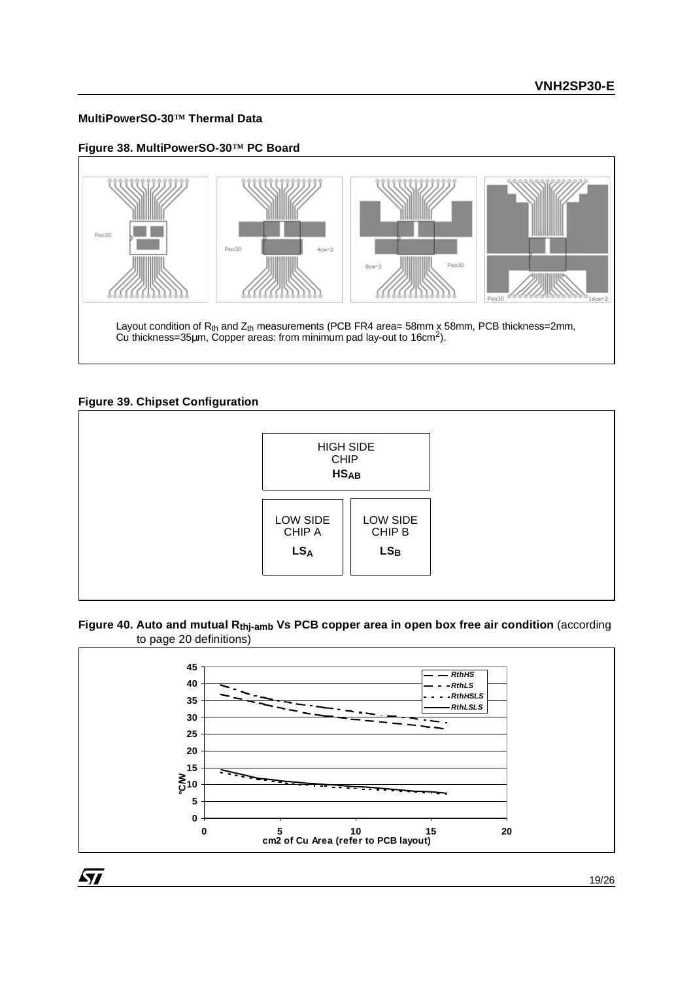### **MultiPowerSO-30™ Thermal Data**

**Figure 38. MultiPowerSO-30™ PC Board**



# **Figure 39. Chipset Configuration**

 $\sqrt{27}$ 



### Figure 40. Auto and mutual R<sub>thj-amb</sub> Vs PCB copper area in open box free air condition (according to page 20 definitions)

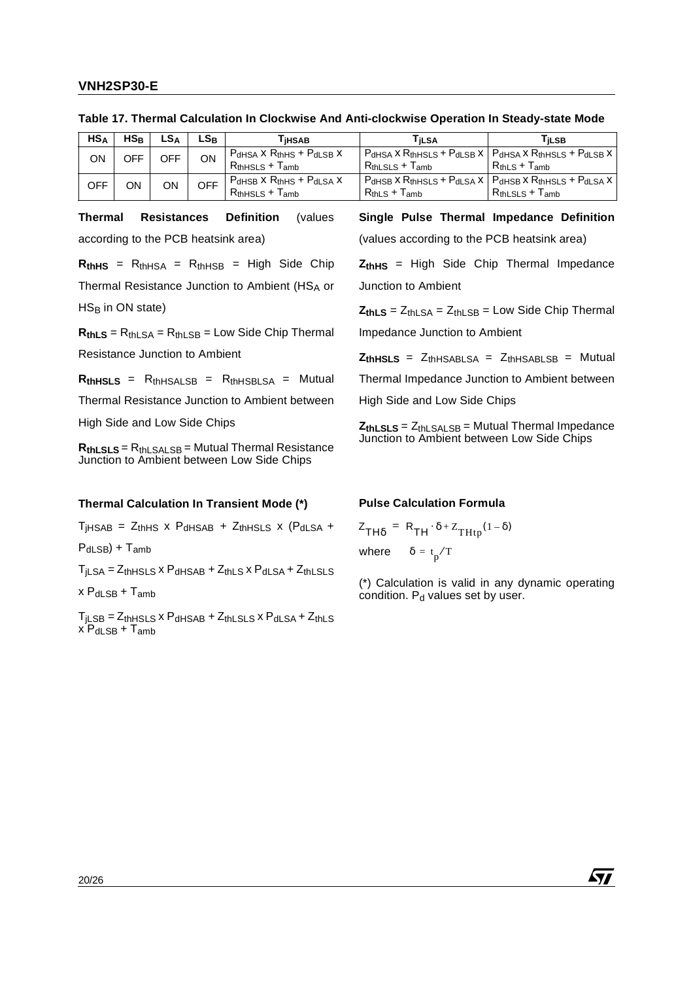| HS <sub>A</sub> | $HS_{B}$ | LSA | $LS_{\rm B}$ | <b>THSAB</b>                                               | ⊺iLSA                                                          | Γi∟SB                                                             |
|-----------------|----------|-----|--------------|------------------------------------------------------------|----------------------------------------------------------------|-------------------------------------------------------------------|
| ΟN              | OFF      | OFF | ΟN           | $P_{dHSA}$ X $R_{thHS}$ + $P_{dLSB}$ X<br>$RthHSLS + Tamb$ | $P_{dHSA}$ X $R_{thHSLS}$ + $P_{dLSB}$ X  <br>$RthLSLS + Tamb$ | $ P_{dHSA} \times R_{thHSLS} + P_{dLSB} \times$<br>$RthLS + Tamb$ |
| OFF             | ΟN       | ΟN  | OFF          | $P_{dHSB}$ X $R_{thHS}$ + $P_{dLSA}$ X<br>$RthHSLS + Tamb$ | $P_{dHSB}$ X $R_{thHSLS}$ + $P_{dLSA}$ X  <br>$RthLS + Tamb$   | Pdhsb X Rthhsls + Pdlsa X<br>$Rth LSLS + Tamb$                    |

**Table 17. Thermal Calculation In Clockwise And Anti-clockwise Operation In Steady-state Mode**

**Thermal Resistances Definition** (values according to the PCB heatsink area)

 $R_{thHS}$  =  $R_{thHSA}$  =  $R_{thHSB}$  = High Side Chip Thermal Resistance Junction to Ambient (HSA or  $HS_B$  in ON state)

 $R<sub>thLS</sub> = R<sub>thLSA</sub> = R<sub>thLSB</sub> = Low Side Chip Thermal$ 

Resistance Junction to Ambient

 $R<sub>thHS</sub>$   $S = R<sub>thHS</sub>$   $S = R<sub>thHS</sub>$   $S = R<sub>thHS</sub>$   $S_A = M$ utual

Thermal Resistance Junction to Ambient between

High Side and Low Side Chips

**RthLSLS** = RthLSALSB = Mutual Thermal Resistance Junction to Ambient between Low Side Chips

### **Thermal Calculation In Transient Mode (\*)**

 $T_{\text{IHSAB}}$  =  $Z_{\text{thHS}}$  x  $P_{\text{dHSAB}}$  +  $Z_{\text{thHSLS}}$  x  $(P_{\text{dLSA}}$  +

 $P_{dl,SB}$  +  $T_{amb}$ 

 $T_{\text{il SA}} = Z_{\text{thHSL}} S X P_{\text{dHSAB}} + Z_{\text{thLS}} S X P_{\text{dLSA}} + Z_{\text{thLSL}} S$ 

 $x P_{dLSB} + T_{amb}$ 

 $T_{\text{iLSB}} = Z_{\text{thHSLS}} \times P_{\text{dHSAB}} + Z_{\text{thLSLS}} \times P_{\text{dLSA}} + Z_{\text{thLS}}$  $x$  P<sub>dLSB</sub> + T<sub>amb</sub>

# **Single Pulse Thermal Impedance Definition**

(values according to the PCB heatsink area)

**ZthHS** = High Side Chip Thermal Impedance Junction to Ambient

 $Z_{thLS} = Z_{thLSA} = Z_{thLSB} =$  Low Side Chip Thermal Impedance Junction to Ambient

 $Z_{th}$ HSLS =  $Z_{th}$ HSABLSA =  $Z_{th}$ HSABLSB = Mutual

Thermal Impedance Junction to Ambient between

High Side and Low Side Chips

**ZthLSLS** = ZthLSALSB = Mutual Thermal Impedance Junction to Ambient between Low Side Chips

#### **Pulse Calculation Formula**

$$
Z_{TH\delta} = R_{TH} \cdot \delta + Z_{THtp}(1 - \delta)
$$
  
where  $\delta = t_p/T$ 

(\*) Calculation is valid in any dynamic operating condition.  $P_d$  values set by user.

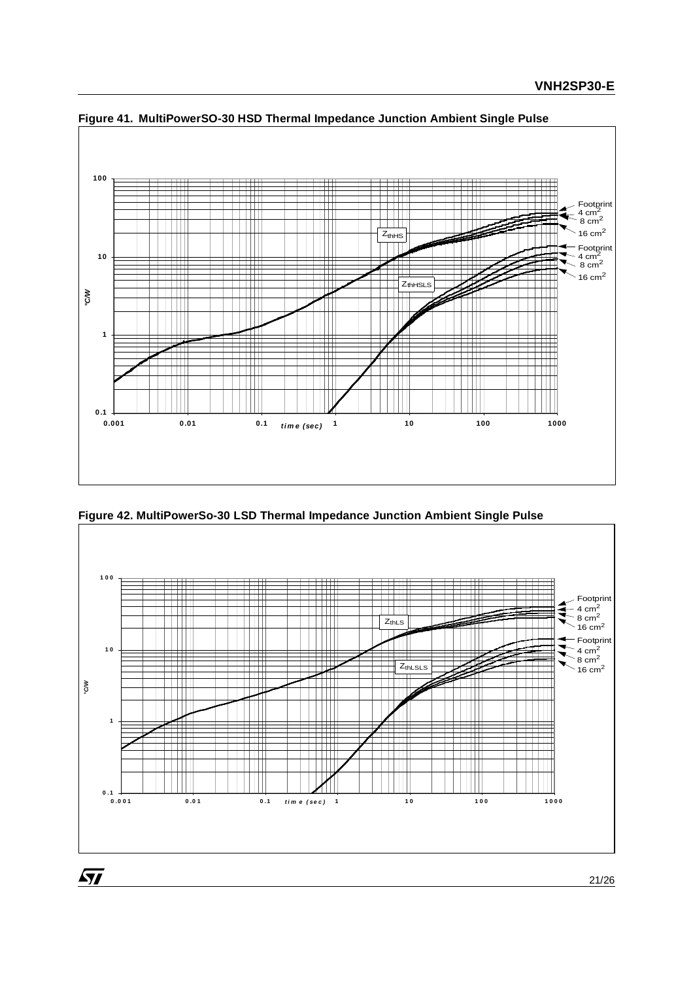

**Figure 41. MultiPowerSO-30 HSD Thermal Impedance Junction Ambient Single Pulse**

**Figure 42. MultiPowerSo-30 LSD Thermal Impedance Junction Ambient Single Pulse**



 $\sqrt{27}$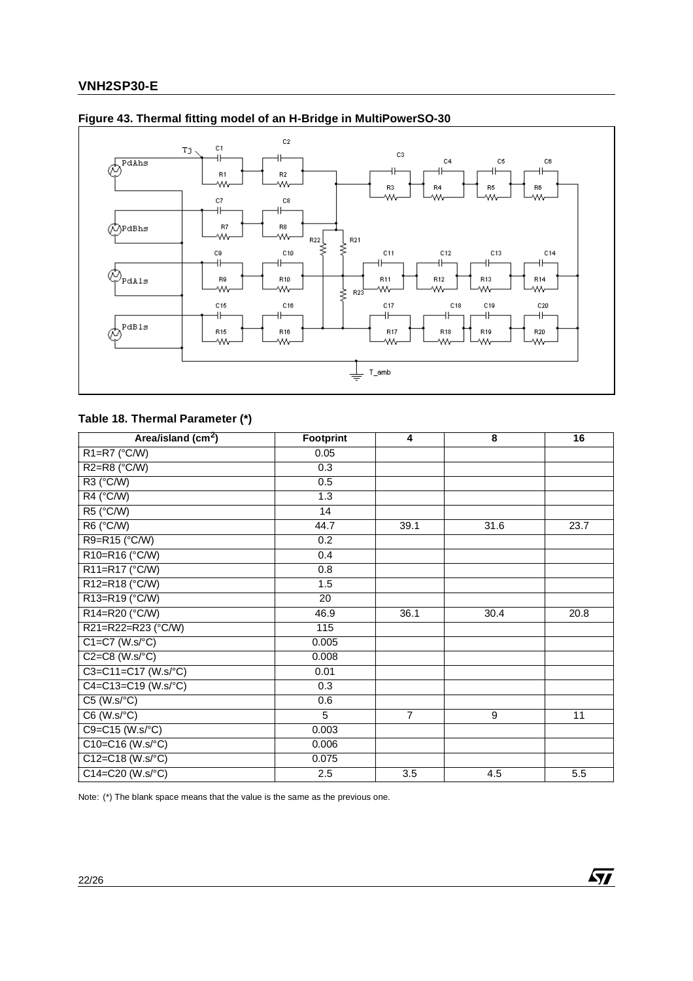

# **Figure 43. Thermal fitting model of an H-Bridge in MultiPowerSO-30**

# **Table 18. Thermal Parameter (\*)**

| Area/island (cm <sup>2</sup> ) | Footprint        | 4              | 8    | 16   |
|--------------------------------|------------------|----------------|------|------|
| R1=R7 (°C/W)                   | 0.05             |                |      |      |
| $R2=R8$ ( $°C/W$ )             | 0.3              |                |      |      |
| R3 (°C/W)                      | 0.5              |                |      |      |
| R4 (°C/W)                      | $\overline{1.3}$ |                |      |      |
| R5 (°C/W)                      | 14               |                |      |      |
| R6 (°C/W)                      | 44.7             | 39.1           | 31.6 | 23.7 |
| R9=R15 (°C/W)                  | 0.2              |                |      |      |
| R10=R16 (°C/W)                 | 0.4              |                |      |      |
| R11=R17 (°C/W)                 | 0.8              |                |      |      |
| R12=R18 (°C/W)                 | 1.5              |                |      |      |
| R13=R19 (°C/W)                 | 20               |                |      |      |
| R14=R20 (°C/W)                 | 46.9             | 36.1           | 30.4 | 20.8 |
| R21=R22=R23 (°C/W)             | 115              |                |      |      |
| $C1 = C7$ (W.s/°C)             | 0.005            |                |      |      |
| $C2=C8$ (W.s/°C)               | 0.008            |                |      |      |
| C3=C11=C17 (W.s/°C)            | 0.01             |                |      |      |
| C4=C13=C19 (W.s/°C)            | 0.3              |                |      |      |
| $C5$ (W.s/ $°C$ )              | 0.6              |                |      |      |
| C6 (W.s/°C)                    | 5                | $\overline{7}$ | 9    | 11   |
| $C9 = C15 (W.s / ^{\circ}C)$   | 0.003            |                |      |      |
| $C10= C16 (W.s^{\circ}C)$      | 0.006            |                |      |      |
| $C12 = C18 (W.s^{\circ}C)$     | 0.075            |                |      |      |
| $C14 = C20 (W.s / ^{\circ}C)$  | 2.5              | 3.5            | 4.5  | 5.5  |

 $\sqrt{27}$ 

Note: (\*) The blank space means that the value is the same as the previous one.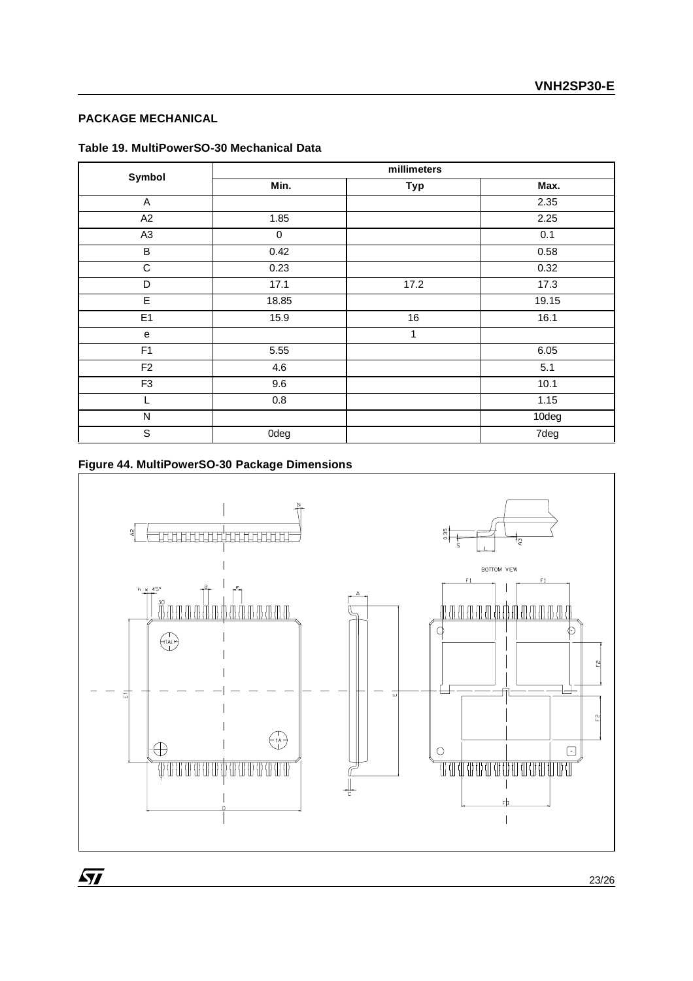# **PACKAGE MECHANICAL**

| Table 19. MultiPowerSO-30 Mechanical Data |  |
|-------------------------------------------|--|
|-------------------------------------------|--|

| Symbol         |         | millimeters |       |
|----------------|---------|-------------|-------|
|                | Min.    | Typ         | Max.  |
| A              |         |             | 2.35  |
| A2             | 1.85    |             | 2.25  |
| A <sub>3</sub> | 0       |             | 0.1   |
| B              | 0.42    |             | 0.58  |
| $\mathsf C$    | 0.23    |             | 0.32  |
| D              | 17.1    | 17.2        | 17.3  |
| E.             | 18.85   |             | 19.15 |
| E <sub>1</sub> | 15.9    | 16          | 16.1  |
| e              |         | 1           |       |
| F <sub>1</sub> | 5.55    |             | 6.05  |
| F <sub>2</sub> | 4.6     |             | 5.1   |
| F <sub>3</sub> | 9.6     |             | 10.1  |
| L              | $0.8\,$ |             | 1.15  |
| ${\sf N}$      |         |             | 10deg |
| $\mathsf S$    | 0deg    |             | 7deg  |

# **Figure 44. MultiPowerSO-30 Package Dimensions**



 $\sqrt{1}$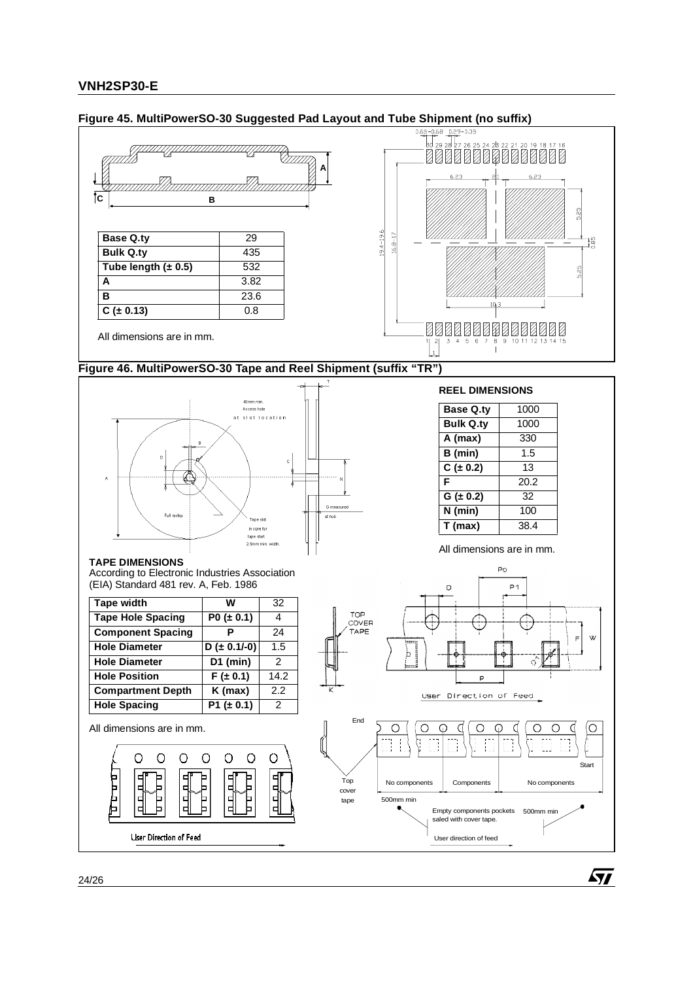

## **Figure 45. MultiPowerSO-30 Suggested Pad Layout and Tube Shipment (no suffix)**

57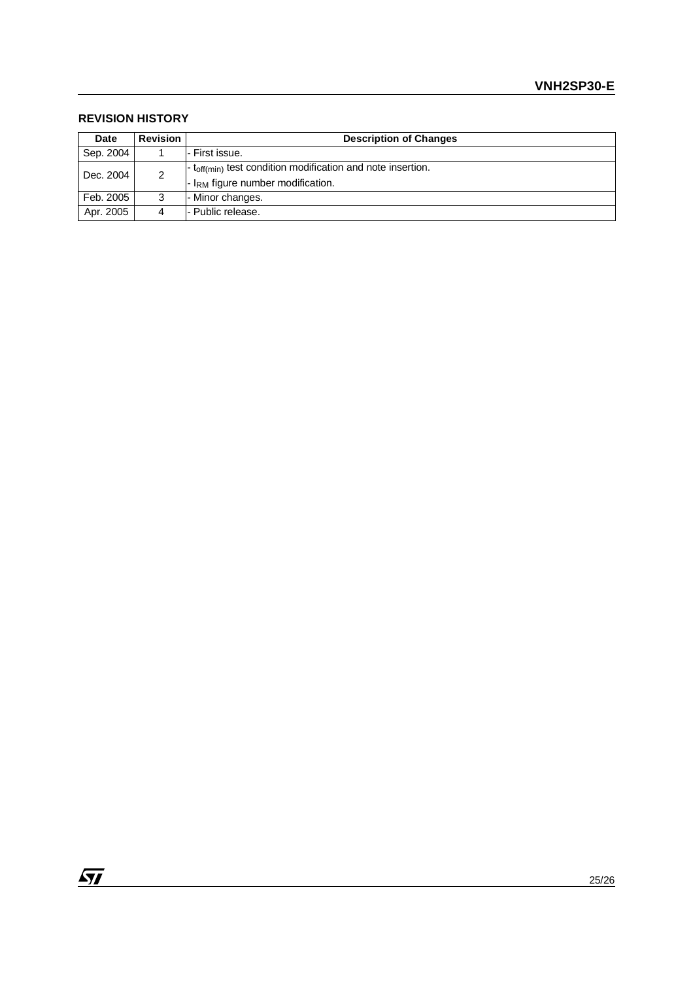### **REVISION HISTORY**

| <b>Date</b> | <b>Revision</b><br><b>Description of Changes</b> |                                                                                 |  |  |
|-------------|--------------------------------------------------|---------------------------------------------------------------------------------|--|--|
| Sep. 2004   |                                                  | l- First issue.                                                                 |  |  |
|             | Dec. 2004<br>2                                   | $\vert$ - t <sub>off(min)</sub> test condition modification and note insertion. |  |  |
|             |                                                  | - I <sub>RM</sub> figure number modification.                                   |  |  |
| Feb. 2005   | 3                                                | - Minor changes.                                                                |  |  |
| Apr. 2005   | 4                                                | l- Public release.                                                              |  |  |